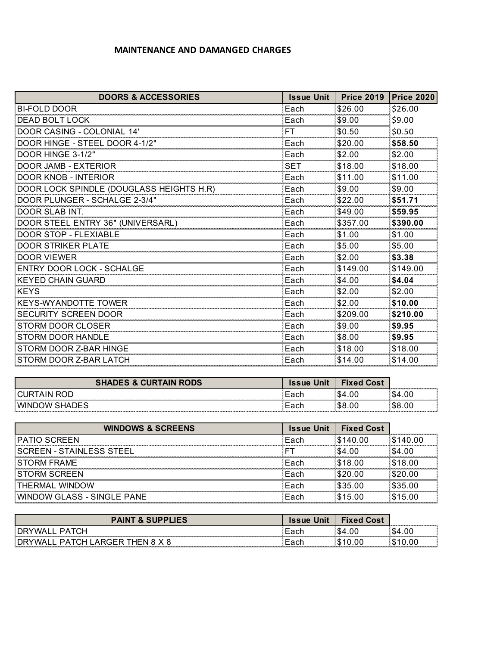## **MAINTENANCE AND DAMANGED CHARGES**

| <b>DOORS &amp; ACCESSORIES</b>           | <b>Issue Unit</b> | <b>Price 2019</b> | <b>Price 2020</b> |
|------------------------------------------|-------------------|-------------------|-------------------|
| <b>BI-FOLD DOOR</b>                      | Each              | \$26.00           | \$26.00           |
| <b>DEAD BOLT LOCK</b>                    | Each              | \$9.00            | \$9.00            |
| DOOR CASING - COLONIAL 14'               | FT                | \$0.50            | \$0.50            |
| DOOR HINGE - STEEL DOOR 4-1/2"           | Each              | \$20.00           | \$58.50           |
| DOOR HINGE 3-1/2"                        | Each              | \$2.00            | \$2.00            |
| <b>DOOR JAMB - EXTERIOR</b>              | SET               | \$18.00           | \$18.00           |
| <b>DOOR KNOB - INTERIOR</b>              | Each              | \$11.00           | \$11.00           |
| DOOR LOCK SPINDLE (DOUGLASS HEIGHTS H.R) | Each              | \$9.00            | \$9.00            |
| DOOR PLUNGER - SCHALGE 2-3/4"            | Each              | \$22.00           | \$51.71           |
| DOOR SLAB INT.                           | Each              | \$49.00           | \$59.95           |
| DOOR STEEL ENTRY 36" (UNIVERSARL)        | Each              | \$357.00          | \$390.00          |
| DOOR STOP - FLEXIABLE                    | Each              | \$1.00            | \$1.00            |
| <b>DOOR STRIKER PLATE</b>                | Each              | \$5.00            | \$5.00            |
| <b>DOOR VIEWER</b>                       | Each              | \$2.00            | \$3.38            |
| <b>ENTRY DOOR LOCK - SCHALGE</b>         | Each              | \$149.00          | \$149.00          |
| <b>KEYED CHAIN GUARD</b>                 | Each              | \$4.00            | \$4.04            |
| <b>KEYS</b>                              | Each              | \$2.00            | \$2.00            |
| <b>KEYS-WYANDOTTE TOWER</b>              | Each              | \$2.00            | \$10.00           |
| <b>SECURITY SCREEN DOOR</b>              | Each              | \$209.00          | \$210.00          |
| <b>STORM DOOR CLOSER</b>                 | Each              | \$9.00            | \$9.95            |
| <b>STORM DOOR HANDLE</b>                 | Each              | \$8.00            | \$9.95            |
| STORM DOOR Z-BAR HINGE                   | Each              | \$18.00           | \$18.00           |
| STORM DOOR Z-BAR LATCH                   | Each              | \$14.00           | \$14.00           |

| <b>S &amp; CURTAIN RODS</b> | Cost |  |
|-----------------------------|------|--|
|                             |      |  |
| w                           |      |  |

| <b>WINDOWS &amp; SCREENS</b>      | <b>Issue Unit</b> | <b>Fixed Cost</b> |         |
|-----------------------------------|-------------------|-------------------|---------|
| <b>PATIO SCREEN</b>               | Each              | \$140.00          |         |
| SCREEN - STAINLESS STEEL          |                   | \$4.00            | \$4.00  |
| <b>STORM FRAME</b>                | Each              | \$18.00           | \$18.00 |
| <b>STORM SCREEN</b>               | Each              | \$20.00           | \$20.00 |
| THERMAL WINDOW                    | Fach              | \$35.00           | \$35.00 |
| <b>WINDOW GLASS - SINGLE PANE</b> | Fach              | \$15.00           | \$15.00 |

| <b>AINT</b><br><b>&amp; SUPPLIES</b>   | <b>Issue Unit</b> | <b>Fixed Cost</b> | ,,,,,,,,,,,,,,,,,,,,,,,,,,,,, |
|----------------------------------------|-------------------|-------------------|-------------------------------|
| D A                                    |                   |                   |                               |
| . DRY<br>DAT<br>7.`⊟<br>HEN<br>ARGER I |                   |                   |                               |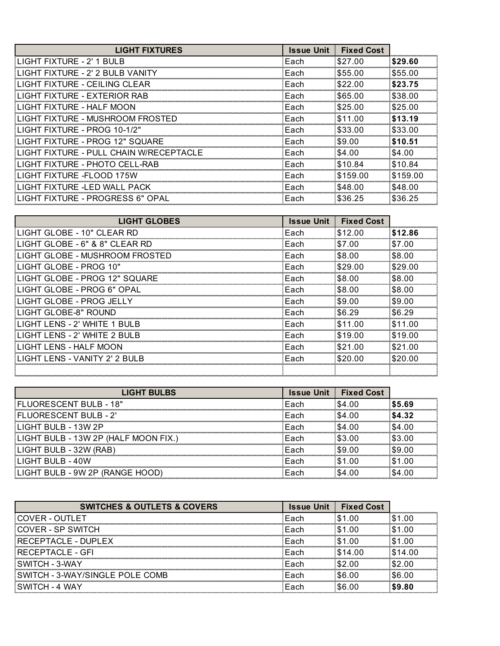| <b>LIGHT FIXTURES</b>                   | <b>Issue Unit</b> | <b>Fixed Cost</b> |          |
|-----------------------------------------|-------------------|-------------------|----------|
| LIGHT FIXTURE - 2' 1 BULB               | Each              | \$27.00           | \$29.60  |
| LIGHT FIXTURE - 2' 2 BULB VANITY        | Each              | \$55.00           | \$55.00  |
| LIGHT FIXTURE - CEILING CLEAR           | Each              | \$22.00           | \$23.75  |
| LIGHT FIXTURE - EXTERIOR RAB            | Each              | \$65.00           | \$38.00  |
| LIGHT FIXTURE - HALF MOON               | Each              | \$25.00           | \$25.00  |
| LIGHT FIXTURE - MUSHROOM FROSTED        | Each              | \$11.00           | \$13.19  |
| LIGHT FIXTURE - PROG 10-1/2"            | Each              | \$33.00           | \$33.00  |
| LIGHT FIXTURE - PROG 12" SQUARE         | Each              | \$9.00            | \$10.51  |
| LIGHT FIXTURE - PULL CHAIN W/RECEPTACLE | Each              | \$4.00            | \$4.00   |
| LIGHT FIXTURE - PHOTO CELL-RAB          | Each              | \$10.84           | \$10.84  |
| I IGHT FIXTURE -FI OOD 175W             | Each              | \$159.00          | \$159.00 |
| LIGHT FIXTURE -LED WALL PACK            | Each              | \$48.00           | \$48.00  |
| LIGHT FIXTURE - PROGRESS 6" OPAL        | Each              | \$36.25           | \$36.25  |

| <b>LIGHT GLOBES</b>            | <b>Issue Unit</b> | <b>Fixed Cost</b> |         |
|--------------------------------|-------------------|-------------------|---------|
| LIGHT GLOBE - 10" CLEAR RD     | Each              | \$12.00           | \$12.86 |
| LIGHT GLOBE - 6" & 8" CLEAR RD | Each              | \$7.00            | \$7.00  |
| LIGHT GLOBE - MUSHROOM FROSTED | Each              | \$8.00            | \$8.00  |
| LIGHT GLOBE - PROG 10"         | Each              | \$29.00           | \$29.00 |
| LIGHT GLOBE - PROG 12" SQUARE  | Each              | \$8.00            | \$8.00  |
| LIGHT GLOBE - PROG 6" OPAL     | Each              | \$8.00            | \$8.00  |
| LIGHT GLOBE - PROG JELLY       | Each              | \$9.00            | \$9.00  |
| LIGHT GLOBE-8" ROUND           | Each              | \$6.29            | \$6.29  |
| LIGHT LENS - 2' WHITE 1 BULB   | Each              | \$11.00           | \$11.00 |
| LIGHT LENS - 2' WHITE 2 BULB   | Each              | \$19.00           | \$19.00 |
| LIGHT LENS - HALF MOON         | Each              | \$21.00           | \$21.00 |
| LIGHT LENS - VANITY 2' 2 BULB  | Each              | \$20.00           | \$20.00 |
|                                |                   |                   |         |

| <b>LIGHT BULBS</b>                   | <b>Issue Unit</b> | <b>Fixed Cost</b> |        |
|--------------------------------------|-------------------|-------------------|--------|
| FLUORESCENT BULB - 18"               | Each              | \$4.00            | \$5.69 |
| <b>FLUORESCENT BULB - 2'</b>         | :Each             | \$4.00            | \$4.32 |
| LIGHT BULB - 13W 2P                  | Each              | \$4.00            | \$4.00 |
| LIGHT BULB - 13W 2P (HALF MOON FIX.) | ∛Each             | \$3.00            | \$3.00 |
| LIGHT BULB - 32W (RAB)               | :Each             | \$9.00            | \$9.00 |
| LIGHT BULB - 40W                     | :Each             | \$1.00            | \$1.00 |
| LIGHT BULB - 9W 2P (RANGE HOOD)      | Fach              | \$4.00            | .S4 00 |

| <b>SWITCHES &amp; OUTLETS &amp; COVERS</b> | <b>Issue Unit</b> | <b>Fixed Cost</b> |         |
|--------------------------------------------|-------------------|-------------------|---------|
| <b>COVER - OUTLET</b>                      | Each              | \$1.00            | .00     |
| COVER - SP SWITCH                          | Each              | \$1.00            | .00     |
| RECEPTACLE - DUPLEX                        | Each              | \$1.00            | .00     |
| RECEPTACLE - GFI                           | Fach              | \$14.00           | \$14.00 |
| SWITCH - 3-WAY                             | Each              | \$2.00            | \$2.00  |
| SWITCH - 3-WAY/SINGLE POLE COMB            | Fach              | \$6.00            | \$6.00  |
| SWITCH - 4 WAY                             | Fach              | \$6.00            | \$9.80  |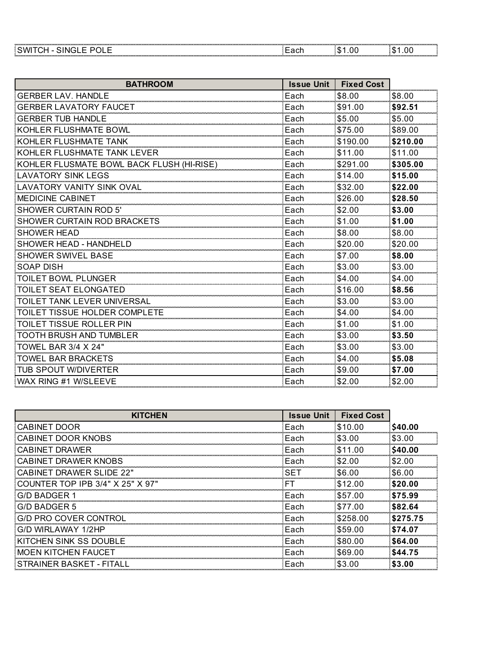| .<br><br>-------<br>. | -------------------- | . |
|-----------------------|----------------------|---|
|                       |                      |   |

| <b>BATHROOM</b>                           | <b>Issue Unit</b> | <b>Fixed Cost</b> |          |
|-------------------------------------------|-------------------|-------------------|----------|
| <b>GERBER LAV, HANDLE</b>                 | Each              | \$8.00            | \$8.00   |
| <b>GERBER LAVATORY FAUCET</b>             | Each              | \$91.00           | \$92.51  |
| <b>GERBER TUB HANDLE</b>                  | Each              | \$5.00            | \$5.00   |
| <b>KOHLER FLUSHMATE BOWL</b>              | Each              | \$75.00           | \$89.00  |
| KOHLER FLUSHMATE TANK                     | Each              | \$190.00          | \$210.00 |
| KOHLER FLUSHMATE TANK LEVER               | Each              | \$11.00           | \$11.00  |
| KOHLER FLUSMATE BOWL BACK FLUSH (HI-RISE) | Each              | \$291.00          | \$305.00 |
| <b>LAVATORY SINK LEGS</b>                 | Each              | \$14.00           | \$15.00  |
| <b>LAVATORY VANITY SINK OVAL</b>          | Each              | \$32.00           | \$22.00  |
| <b>MEDICINE CABINET</b>                   | Each              | \$26.00           | \$28.50  |
| <b>SHOWER CURTAIN ROD 5'</b>              | Each              | \$2.00            | \$3.00   |
| SHOWER CURTAIN ROD BRACKETS               | Each              | \$1.00            | \$1.00   |
| <b>SHOWER HEAD</b>                        | Each              | \$8.00            | \$8.00   |
| <b>SHOWER HEAD - HANDHELD</b>             | Each              | \$20.00           | \$20.00  |
| <b>SHOWER SWIVEL BASE</b>                 | Each              | \$7.00            | \$8.00   |
| <b>SOAP DISH</b>                          | Each              | \$3.00            | \$3.00   |
| <b>TOILET BOWL PLUNGER</b>                | Each              | \$4.00            | \$4.00   |
| TOILET SEAT ELONGATED                     | Each              | \$16.00           | \$8.56   |
| TOILET TANK LEVER UNIVERSAL               | Each              | \$3.00            | \$3.00   |
| TOILET TISSUE HOLDER COMPLETE             | Each              | \$4.00            | \$4.00   |
| TOILET TISSUE ROLLER PIN                  | Each              | \$1.00            | \$1.00   |
| TOOTH BRUSH AND TUMBLER                   | Each              | \$3.00            | \$3.50   |
| TOWEL BAR 3/4 X 24"                       | Each              | \$3.00            | \$3.00   |
| <b>TOWEL BAR BRACKETS</b>                 | Each              | \$4.00            | \$5.08   |
| TUB SPOUT W/DIVERTER                      | Each              | \$9.00            | \$7.00   |
| WAX RING #1 W/SLEEVE                      | Each              | \$2.00            | \$2.00   |

| <b>KITCHEN</b>                   | <b>Issue Unit</b> | <b>Fixed Cost</b> |          |
|----------------------------------|-------------------|-------------------|----------|
| <b>CABINET DOOR</b>              | Each              | \$10.00           | \$40.00  |
| CABINET DOOR KNOBS               | Each              | \$3.00            | \$3.00   |
| CABINET DRAWER                   | Each              | \$11.00           | \$40.00  |
| CABINET DRAWER KNOBS             | Each              | \$2.00            | \$2.00   |
| CABINET DRAWER SLIDE 22"         | <b>SET</b>        | \$6.00            | \$6.00   |
| COUNTER TOP IPB 3/4" X 25" X 97" | FТ                | \$12.00           | \$20.00  |
| G/D BADGER 1                     | ∶Each             | \$57.00           | \$75.99  |
| G/D BADGER 5                     | Each              | \$77.00           | \$82.64  |
| G/D PRO COVER CONTROL            | Each              | \$258.00          | \$275.75 |
| G/D WIRLAWAY 1/2HP               | Each              | \$59.00           | \$74.07  |
| KITCHEN SINK SS DOUBLE           | Each              | \$80.00           | \$64.00  |
| <b>MOEN KITCHEN FAUCET</b>       | Each              | \$69.00           | \$44.75  |
| STRAINER BASKET - FITALL         | Each              | \$3.00            | \$3.00   |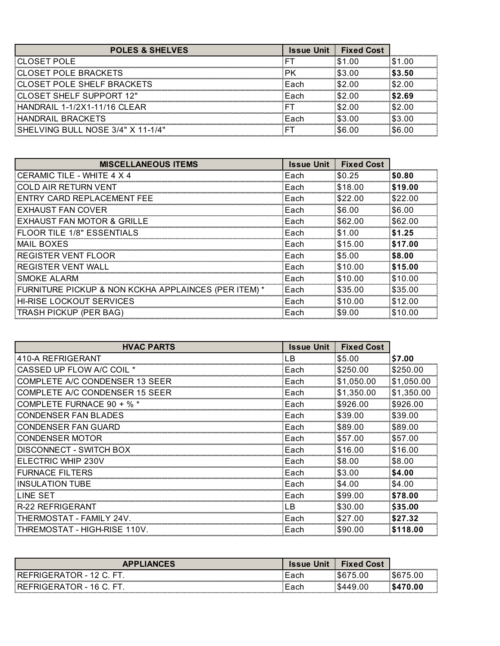| <b>POLES &amp; SHELVES</b>        | <b>Issue Unit</b> | <b>Fixed Cost</b> |      |
|-----------------------------------|-------------------|-------------------|------|
| CLOSET POLE                       |                   | 1 OO              | 00   |
| CLOSET POLE BRACKETS              |                   | :3 በበ             | 3.50 |
| CLOSET POLE SHELF BRACKETS        | Fach              | -00               | nr   |
| CLOSET SHELF SUPPORT 12"          | Fach              |                   |      |
| HANDRAIL 1-1/2X1-11/16 CLEAR      |                   |                   |      |
| HANDRAIL BRACKETS                 | Fach              | 63 OO             | .00  |
| SHELVING BULL NOSE 3/4" X 11-1/4" |                   |                   |      |

| <b>MISCELLANEOUS ITEMS</b>                           | <b>Issue Unit</b> | <b>Fixed Cost</b> |         |
|------------------------------------------------------|-------------------|-------------------|---------|
| CERAMIC TILE - WHITE 4 X 4                           | Each              | \$0.25            | \$0.80  |
| COLD AIR RETURN VENT                                 | Each              | \$18.00           | \$19.00 |
| ENTRY CARD REPLACEMENT FEE                           | Each              | \$22.00           | \$22.00 |
| EXHAUST FAN COVER                                    | Each              | \$6.00            | \$6.00  |
| EXHAUST FAN MOTOR & GRILLE                           | Each              | \$62.00           | \$62.00 |
| FLOOR TILE 1/8" ESSENTIALS                           | Each              | \$1.00            | \$1.25  |
| <b>MAIL BOXES</b>                                    | Each              | \$15.00           | \$17.00 |
| <b>REGISTER VENT FLOOR</b>                           | Each              | \$5.00            | \$8.00  |
| REGISTER VENT WALL                                   | Each              | \$10.00           | \$15.00 |
| SMOKE ALARM                                          | Each              | \$10.00           | \$10.00 |
| FURNITURE PICKUP & NON KCKHA APPLAINCES (PER ITEM) * | Each              | \$35.00           | \$35.00 |
| <b>HI-RISE LOCKOUT SERVICES</b>                      | Each              | \$10.00           | \$12.00 |
| TRASH PICKUP (PER BAG)                               | Each              | \$9.00            | \$10.00 |

| <b>HVAC PARTS</b>                     | <b>Issue Unit</b> | <b>Fixed Cost</b> |            |
|---------------------------------------|-------------------|-------------------|------------|
| 410-A REFRIGERANT                     | .B                | \$5.00            | \$7.00     |
| CASSED UP FLOW A/C COIL *             | Each              | \$250.00          | \$250.00   |
| COMPLETE A/C CONDENSER 13 SEER        | Each              | \$1,050.00        | \$1,050.00 |
| <b>COMPLETE A/C CONDENSER 15 SEER</b> | Each              | \$1,350.00        | \$1,350.00 |
| COMPLETE FURNACE $90 + %$             | Each              | \$926.00          | \$926.00   |
| CONDENSER FAN BLADES                  | Each              | \$39.00           | \$39.00    |
| <b>CONDENSER FAN GUARD</b>            | Each              | \$89.00           | \$89.00    |
| <b>CONDENSER MOTOR</b>                | Each              | \$57.00           | \$57.00    |
| DISCONNECT - SWITCH BOX               | Each              | \$16.00           | \$16.00    |
| ELECTRIC WHIP 230V                    | Each              | \$8.00            | \$8.00     |
| <b>FURNACE FILTERS</b>                | Each              | \$3.00            | \$4.00     |
| <b>INSULATION TUBE</b>                | Each              | \$4.00            | \$4.00     |
| LINE SET                              | Each              | \$99.00           | \$78.00    |
| <b>R-22 REFRIGERANT</b>               | ĒΒ                | \$30.00           | \$35.00    |
| THERMOSTAT - FAMILY 24V.              | Each              | \$27.00           | \$27.32    |
| THREMOSTAT - HIGH-RISE 110V.          | Each              | \$90.00           | \$118.00   |

|                   | <b>Jni</b><br>Issue    | <b>Cost</b><br>Fixed |  |
|-------------------|------------------------|----------------------|--|
| או                | トゥペ<br>cau             | 0C                   |  |
| 1 Q<br>∸⊢₩∆<br>או | $-$ 0 0 $\sim$<br>caul | ÜÜ                   |  |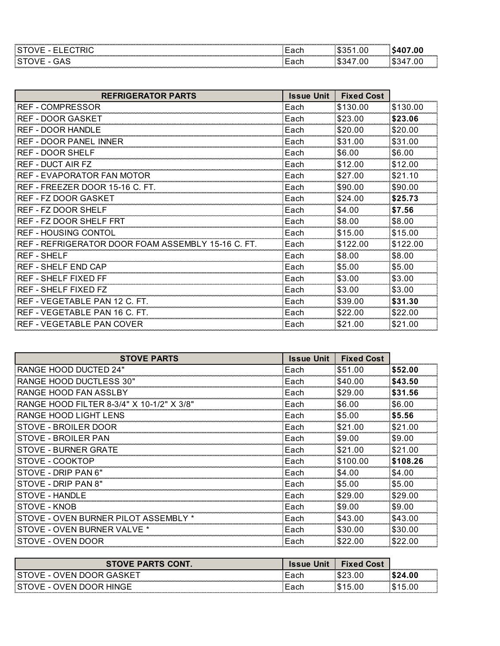|  | . |  |
|--|---|--|
|  |   |  |

| <b>REFRIGERATOR PARTS</b>            | <b>Issue Unit</b> | <b>Fixed Cost</b> |          |
|--------------------------------------|-------------------|-------------------|----------|
| <b>REF - COMPRESSOR</b>              | Each              | \$130.00          | \$130.00 |
| <b>REF - DOOR GASKET</b>             | Each              | \$23.00           | \$23.06  |
| <b>REF - DOOR HANDLE</b>             | Each              | \$20.00           | \$20.00  |
| <b>REF - DOOR PANEL INNER</b>        | Each              | \$31.00           | \$31.00  |
| <b>REF - DOOR SHELF</b>              | Each              | \$6.00            | \$6.00   |
| <b>REF - DUCT AIR FZ</b>             | Each              | \$12.00           | \$12.00  |
| REF - EVAPORATOR FAN MOTOR           | Each              | \$27.00           | \$21.10  |
| REF - FREEZER DOOR 15-16 C. FT.      | Each              | \$90.00           | \$90.00  |
| <b>REF - FZ DOOR GASKET</b>          | Each              | \$24.00           | \$25.73  |
| <b>REF - FZ DOOR SHELF</b>           | Each              | \$4.00            | \$7.56   |
| REF - FZ DOOR SHELF FRT              | Each              | \$8.00            | \$8.00   |
| <b>REF - HOUSING CONTOL</b>          | Each              | \$15.00           | \$15.00  |
| REF - REFRIGERATOR DOOR FOAM ASSEMBL | Each              | \$122.00          | \$122.00 |
| <b>REF-SHELF</b>                     | Each              | \$8.00            | \$8.00   |
| <b>REF - SHELF END CAP</b>           | Each              | \$5.00            | \$5.00   |
| <b>REF - SHELF FIXED FF</b>          | Each              | \$3.00            | \$3.00   |
| <b>REF - SHELF FIXED FZ</b>          | Each              | \$3.00            | \$3.00   |
| REF - VEGETABLE PAN 12 C. FT.        | Each              | \$39.00           | \$31.30  |
| REF - VEGETABLE PAN 16 C. FT.        | Each              | \$22.00           | \$22.00  |
| <b>REF - VEGETABLE PAN COVER</b>     | Each              | \$21.00           | \$21.00  |

| <b>STOVE PARTS</b>                        | <b>Issue Unit</b> | <b>Fixed Cost</b> |          |
|-------------------------------------------|-------------------|-------------------|----------|
| <b>RANGE HOOD DUCTED 24"</b>              | Each              | \$51.00           | \$52.00  |
| RANGE HOOD DUCTLESS 30"                   | Each              | \$40.00           | \$43.50  |
| RANGE HOOD FAN ASSLBY                     | Each              | \$29.00           | \$31.56  |
| RANGE HOOD FILTER 8-3/4" X 10-1/2" X 3/8" | Each              | \$6.00            | \$6.00   |
| RANGE HOOD LIGHT LENS                     | Each              | \$5.00            | \$5.56   |
| STOVE - BROILER DOOR                      | Each              | \$21.00           | \$21.00  |
| STOVE - BROILER PAN                       | Each              | \$9.00            | \$9.00   |
| STOVE - BURNER GRATE                      | Each              | \$21.00           | \$21.00  |
| STOVE - COOKTOP                           | Each              | \$100.00          | \$108.26 |
| STOVE - DRIP PAN 6"                       | Each              | \$4.00            | \$4.00   |
| STOVE - DRIP PAN 8"                       | Each              | \$5.00            | \$5.00   |
| <b>STOVE - HANDLE</b>                     | Each              | \$29.00           | \$29.00  |
| STOVE - KNOB                              | Each              | \$9.00            | \$9.00   |
| STOVE - OVEN BURNER PILOT ASSEMBL         | Each              | \$43.00           | \$43.00  |
| STOVE - OVEN BURNER VALVE *               | Each              | \$30.00           | \$30.00  |
| STOVE - OVEN DOOR                         | Each              | \$22.00           | \$22.00  |

| <b>STOVE PARTS CONT.</b>  | <b>Issue Unit</b> | <b>Fixed Cost</b> | ----------------------------- |
|---------------------------|-------------------|-------------------|-------------------------------|
| STOVE - OVEN DOOR GASKET! | :Each             |                   | រ24.00                        |
| STOVE - OVEN DOOR HINGE   | <b>Lach</b>       | \$15.00           | 15.00 ه                       |